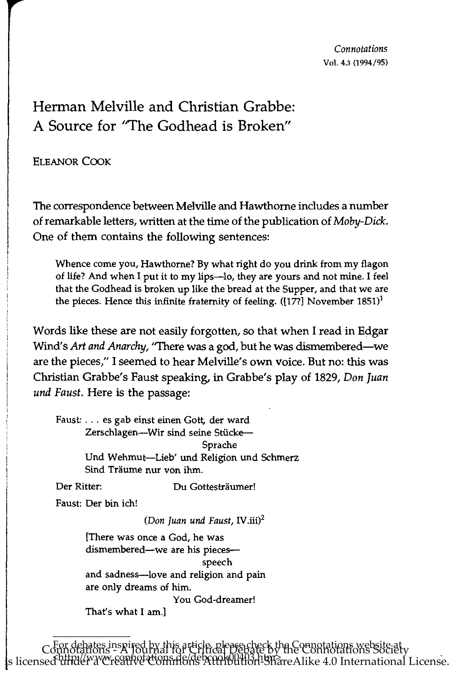## Herman Melville and Christian Grabbe: A Source for ''The Godhead is Broken"

ELEANOR COOK

The correspondence between Melville and Hawthome includes a number of remarkable letters, written at the time of the publication of *Moby-Dick.*  One of them contains the following sentences:

Whence come you, Hawthorne? By what right do you drink from my flagon of life? And when I put it to my lips-Io, they are yours and not mine. I feel that the Godhead is broken up like the bread at the Supper, and that we are the pieces. Hence this infinite fraternity of feeling.  $([177]$  November 1851)<sup>1</sup>

Words like these are not easily forgotten, so that when I read in Edgar Wind's *Art and Anarchy,* "There was a god, but he was dismembered-we are the pieces," I seemed to hear Melville's own voice. But no: this was Christian Grabbe's Faust speaking, in Grabbe's play of 1829, *Don Juan und Faust.* Here is the passage:

Faust: ... es gab einst einen Gott, der ward Zerschlagen-Wir sind seine Stücke-Sprache Und Wehmut-Lieb' und Religion und Schmerz Sind Träume nur von ihm.

Der Ritter: Du Gottestraumer!

Faust: Der bin ich!

\_\_\_\_\_\_\_\_\_\_\_\_\_\_\_

*(Don Juan und Faust,* IV.iii)2

[There was Once a God, he was dismembered--we are his piecesspeech and sadness-love and religion and pain are only dreams of him. You God-dreamer!

That's what I am.]

For debates inspired by this article, please check the Connotations website at Connotations - A Journal for Critical Debate by the Connotations Society s licensed under a Creative Commons Attribution-ShareAlike 4.0 International License.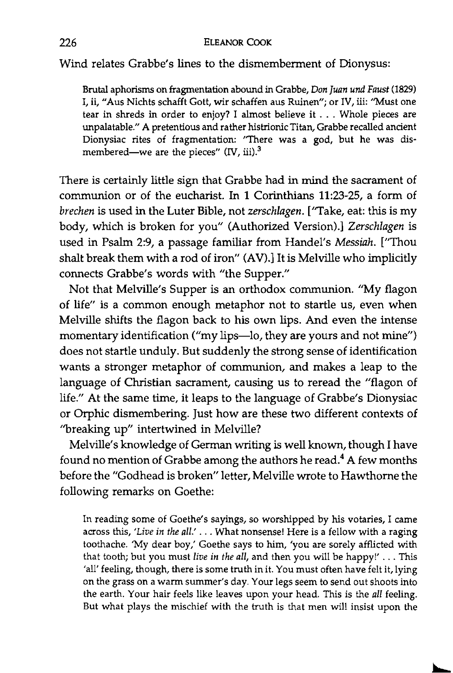Wind relates Grabbe's lines to the dismemberment of Dionysus:

Brutal aphorisms on fragmentation abound in Grabbe, *Don Juan und Faust (1829)*  I, ii, "Aus Nichts schafft Gott, wir schaffen aus Ruinen"; or IV, iii: "Must one tear in shreds in order to enjoy? I almost believe it . . . Whole pieces are unpalatable." A pretentious and rather histrionic Titan, Grabbe recalled ancient Dionysiac rites of fragmentation: "There was a god, but he was dismembered-we are the pieces" *(IV, iii)*.<sup>3</sup>

There is certainly little sign that Grabbe had in mind the sacrament of communion or of the eucharist. In 1 Corinthians 11:23-25, a form of *brechen* is used in the Luter Bible, not *zerschlagen.* [''Take, eat: this is my body, which is broken for you" (Authorized Version).] *Zerschlagen* is used in Psalm 2:9, a passage familiar from Handel's *Messiah.* ["Thou shalt break them with a rod of iron" (AV).] It is Melville who implicitly connects Grabbe's words with "the Supper."

Not that Melville's Supper is an orthodox communion. "My flagon of life" is a common enough metaphor not to startle us, even when Melville shifts the flagon back to his own lips. And even the intense momentary identification ("my lips--lo, they are yours and not mine") does not startle unduly. But suddenly the strong sense of identification wants a stronger metaphor of communion, and makes a leap to the language of Christian sacrament, causing us to reread the "flagon of life." At the same time, it leaps to the language of Grabbe's Dionysiac or Orphic dismembering. Just how are these two different contexts of ''breaking up" intertwined in Melville?

Melville's knowledge of German writing is well known, though I have found no mention of Grabbe among the authors he read.4 A few months before the "Godhead is broken" letter, Melville wrote to Hawthome the following remarks on Goethe:

In reading some of Goethe's sayings, so worshipped by his votaries, I came across this, *'Live in the all.'* ... What nonsense! Here is a fellow with a raging toothache. 'My dear boy,' Goethe says to him, 'you are sorely afflicted with that tooth; but you must *live in the all,* and then you will be happy!' ... This 'all' feeling, though, there is some truth in it. You must often have felt it, lying on the grass on a warm summer's day. Your legs seem to send out shoots into the earth. Your hair feels like leaves upon your head. This is the *all* feeling. But what plays the mischief with the truth is that men will insist upon the